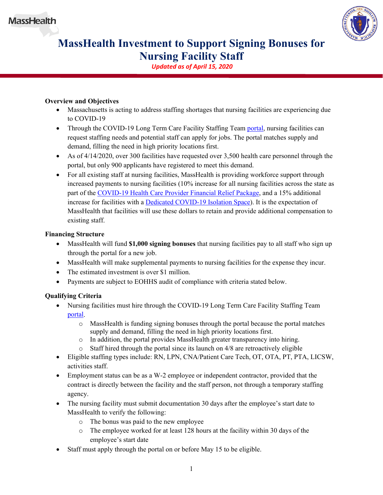

# **MassHealth Investment to Support Signing Bonuses for Nursing Facility Staff**

*Updated as of April 15, 2020*

## **Overview and Objectives**

- Massachusetts is acting to address staffing shortages that nursing facilities are experiencing due to COVID-19
- Through the COVID-19 Long Term Care Facility Staffing Team [portal,](https://covid19ltc.umassmed.edu/) nursing facilities can request staffing needs and potential staff can apply for jobs. The portal matches supply and demand, filling the need in high priority locations first.
- As of 4/14/2020, over 300 facilities have requested over 3,500 health care personnel through the portal, but only 900 applicants have registered to meet this demand.
- For all existing staff at nursing facilities, MassHealth is providing workforce support through increased payments to nursing facilities (10% increase for all nursing facilities across the state as part of the [COVID-19 Health Care Provider Financial Relief Package,](https://www.mass.gov/doc/covid-19-health-care-provider-financial-relief-package/download) and a 15% additional increase for facilities with a [Dedicated COVID-19 Isolation Space\)](https://www.mass.gov/doc/masshealth-nursing-facility-investment-to-support-dedicated-covid-19-isolation-spaces-0/download). It is the expectation of MassHealth that facilities will use these dollars to retain and provide additional compensation to existing staff.

### **Financing Structure**

- MassHealth will fund **\$1,000 signing bonuses** that nursing facilities pay to all staff who sign up through the portal for a new job.
- MassHealth will make supplemental payments to nursing facilities for the expense they incur.
- The estimated investment is over \$1 million.
- Payments are subject to EOHHS audit of compliance with criteria stated below.

## **Qualifying Criteria**

- Nursing facilities must hire through the COVID-19 Long Term Care Facility Staffing Team [portal.](https://covid19ltc.umassmed.edu/)
	- o MassHealth is funding signing bonuses through the portal because the portal matches supply and demand, filling the need in high priority locations first.
	- o In addition, the portal provides MassHealth greater transparency into hiring.
	- o Staff hired through the portal since its launch on 4/8 are retroactively eligible
- Eligible staffing types include: RN, LPN, CNA/Patient Care Tech, OT, OTA, PT, PTA, LICSW, activities staff.
- Employment status can be as a W-2 employee or independent contractor, provided that the contract is directly between the facility and the staff person, not through a temporary staffing agency.
- The nursing facility must submit documentation 30 days after the employee's start date to MassHealth to verify the following:
	- o The bonus was paid to the new employee
	- o The employee worked for at least 128 hours at the facility within 30 days of the employee's start date
- Staff must apply through the portal on or before May 15 to be eligible.